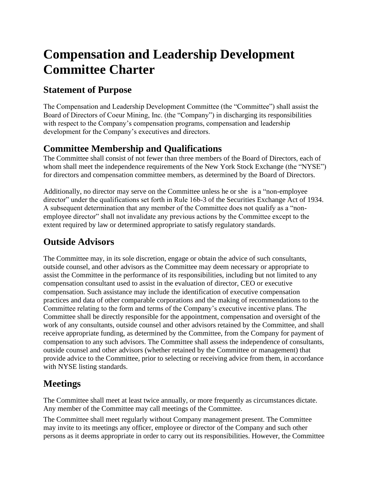# **Compensation and Leadership Development Committee Charter**

#### **Statement of Purpose**

The Compensation and Leadership Development Committee (the "Committee") shall assist the Board of Directors of Coeur Mining, Inc. (the "Company") in discharging its responsibilities with respect to the Company's compensation programs, compensation and leadership development for the Company's executives and directors.

### **Committee Membership and Qualifications**

The Committee shall consist of not fewer than three members of the Board of Directors, each of whom shall meet the independence requirements of the New York Stock Exchange (the "NYSE") for directors and compensation committee members, as determined by the Board of Directors.

Additionally, no director may serve on the Committee unless he or she is a "non-employee director" under the qualifications set forth in Rule 16b-3 of the Securities Exchange Act of 1934. A subsequent determination that any member of the Committee does not qualify as a "nonemployee director" shall not invalidate any previous actions by the Committee except to the extent required by law or determined appropriate to satisfy regulatory standards.

## **Outside Advisors**

The Committee may, in its sole discretion, engage or obtain the advice of such consultants, outside counsel, and other advisors as the Committee may deem necessary or appropriate to assist the Committee in the performance of its responsibilities, including but not limited to any compensation consultant used to assist in the evaluation of director, CEO or executive compensation. Such assistance may include the identification of executive compensation practices and data of other comparable corporations and the making of recommendations to the Committee relating to the form and terms of the Company's executive incentive plans. The Committee shall be directly responsible for the appointment, compensation and oversight of the work of any consultants, outside counsel and other advisors retained by the Committee, and shall receive appropriate funding, as determined by the Committee, from the Company for payment of compensation to any such advisors. The Committee shall assess the independence of consultants, outside counsel and other advisors (whether retained by the Committee or management) that provide advice to the Committee, prior to selecting or receiving advice from them, in accordance with NYSE listing standards.

## **Meetings**

The Committee shall meet at least twice annually, or more frequently as circumstances dictate. Any member of the Committee may call meetings of the Committee.

The Committee shall meet regularly without Company management present. The Committee may invite to its meetings any officer, employee or director of the Company and such other persons as it deems appropriate in order to carry out its responsibilities. However, the Committee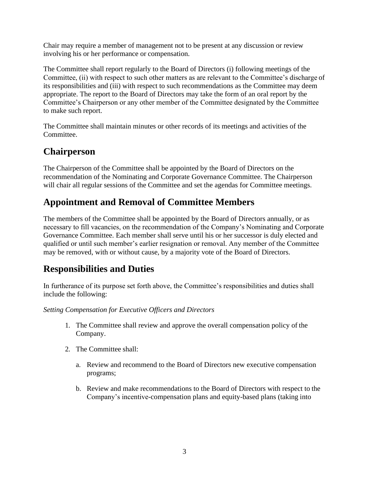Chair may require a member of management not to be present at any discussion or review involving his or her performance or compensation.

The Committee shall report regularly to the Board of Directors (i) following meetings of the Committee, (ii) with respect to such other matters as are relevant to the Committee's discharge of its responsibilities and (iii) with respect to such recommendations as the Committee may deem appropriate. The report to the Board of Directors may take the form of an oral report by the Committee's Chairperson or any other member of the Committee designated by the Committee to make such report.

The Committee shall maintain minutes or other records of its meetings and activities of the Committee.

#### **Chairperson**

The Chairperson of the Committee shall be appointed by the Board of Directors on the recommendation of the Nominating and Corporate Governance Committee. The Chairperson will chair all regular sessions of the Committee and set the agendas for Committee meetings.

#### **Appointment and Removal of Committee Members**

The members of the Committee shall be appointed by the Board of Directors annually, or as necessary to fill vacancies, on the recommendation of the Company's Nominating and Corporate Governance Committee. Each member shall serve until his or her successor is duly elected and qualified or until such member's earlier resignation or removal. Any member of the Committee may be removed, with or without cause, by a majority vote of the Board of Directors.

#### **Responsibilities and Duties**

In furtherance of its purpose set forth above, the Committee's responsibilities and duties shall include the following:

*Setting Compensation for Executive Officers and Directors*

- 1. The Committee shall review and approve the overall compensation policy of the Company.
- 2. The Committee shall:
	- a. Review and recommend to the Board of Directors new executive compensation programs;
	- b. Review and make recommendations to the Board of Directors with respect to the Company's incentive-compensation plans and equity-based plans (taking into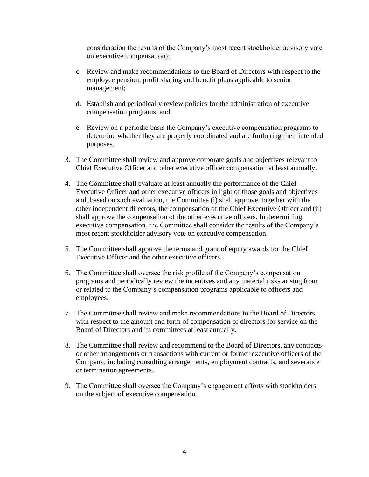consideration the results of the Company's most recent stockholder advisory vote on executive compensation);

- c. Review and make recommendations to the Board of Directors with respect to the employee pension, profit sharing and benefit plans applicable to senior management;
- d. Establish and periodically review policies for the administration of executive compensation programs; and
- e. Review on a periodic basis the Company's executive compensation programs to determine whether they are properly coordinated and are furthering their intended purposes.
- 3. The Committee shall review and approve corporate goals and objectives relevant to Chief Executive Officer and other executive officer compensation at least annually.
- 4. The Committee shall evaluate at least annually the performance of the Chief Executive Officer and other executive officers in light of those goals and objectives and, based on such evaluation, the Committee (i) shall approve, together with the other independent directors, the compensation of the Chief Executive Officer and (ii) shall approve the compensation of the other executive officers. In determining executive compensation, the Committee shall consider the results of the Company's most recent stockholder advisory vote on executive compensation.
- 5. The Committee shall approve the terms and grant of equity awards for the Chief Executive Officer and the other executive officers.
- 6. The Committee shall oversee the risk profile of the Company's compensation programs and periodically review the incentives and any material risks arising from or related to the Company's compensation programs applicable to officers and employees.
- 7. The Committee shall review and make recommendations to the Board of Directors with respect to the amount and form of compensation of directors for service on the Board of Directors and its committees at least annually.
- 8. The Committee shall review and recommend to the Board of Directors, any contracts or other arrangements or transactions with current or former executive officers of the Company, including consulting arrangements, employment contracts, and severance or termination agreements.
- 9. The Committee shall oversee the Company's engagement efforts with stockholders on the subject of executive compensation.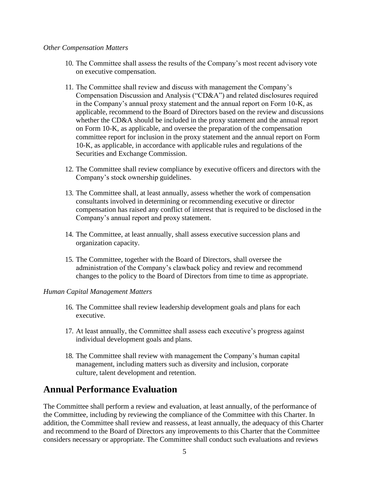#### *Other Compensation Matters*

- 10. The Committee shall assess the results of the Company's most recent advisory vote on executive compensation.
- 11. The Committee shall review and discuss with management the Company's Compensation Discussion and Analysis ("CD&A") and related disclosures required in the Company's annual proxy statement and the annual report on Form 10-K, as applicable, recommend to the Board of Directors based on the review and discussions whether the CD&A should be included in the proxy statement and the annual report on Form 10-K, as applicable, and oversee the preparation of the compensation committee report for inclusion in the proxy statement and the annual report on Form 10-K, as applicable, in accordance with applicable rules and regulations of the Securities and Exchange Commission.
- 12. The Committee shall review compliance by executive officers and directors with the Company's stock ownership guidelines.
- 13. The Committee shall, at least annually, assess whether the work of compensation consultants involved in determining or recommending executive or director compensation has raised any conflict of interest that is required to be disclosed in the Company's annual report and proxy statement.
- 14. The Committee, at least annually, shall assess executive succession plans and organization capacity.
- 15. The Committee, together with the Board of Directors, shall oversee the administration of the Company's clawback policy and review and recommend changes to the policy to the Board of Directors from time to time as appropriate.

#### *Human Capital Management Matters*

- 16. The Committee shall review leadership development goals and plans for each executive.
- 17. At least annually, the Committee shall assess each executive's progress against individual development goals and plans.
- 18. The Committee shall review with management the Company's human capital management, including matters such as diversity and inclusion, corporate culture, talent development and retention.

#### **Annual Performance Evaluation**

The Committee shall perform a review and evaluation, at least annually, of the performance of the Committee, including by reviewing the compliance of the Committee with this Charter. In addition, the Committee shall review and reassess, at least annually, the adequacy of this Charter and recommend to the Board of Directors any improvements to this Charter that the Committee considers necessary or appropriate. The Committee shall conduct such evaluations and reviews